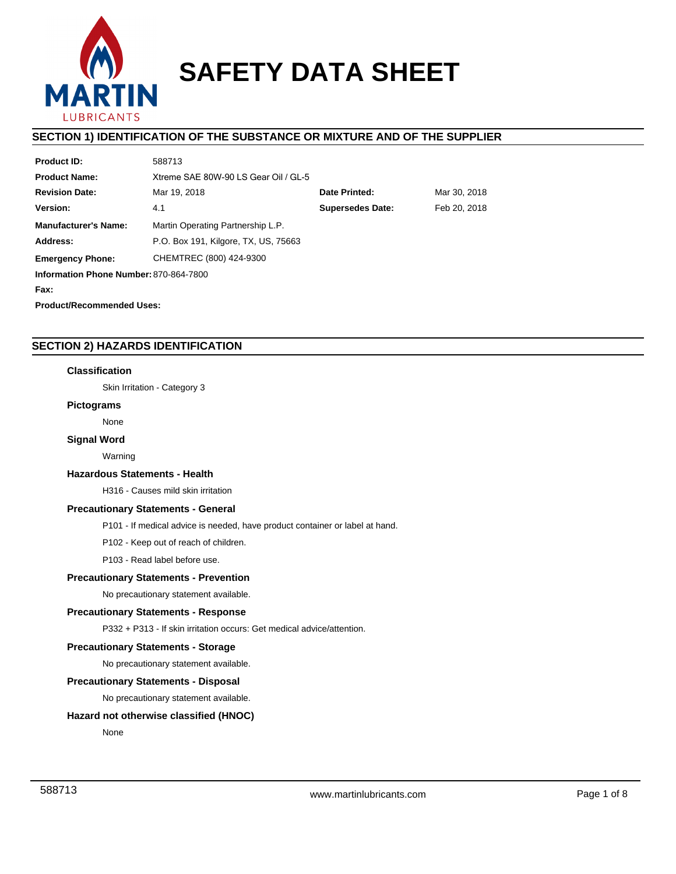

# **SAFETY DATA SHEET**

# **SECTION 1) IDENTIFICATION OF THE SUBSTANCE OR MIXTURE AND OF THE SUPPLIER**

| <b>Product ID:</b>                     | 588713                               |                               |              |  |  |  |
|----------------------------------------|--------------------------------------|-------------------------------|--------------|--|--|--|
| <b>Product Name:</b>                   | Xtreme SAE 80W-90 LS Gear Oil / GL-5 |                               |              |  |  |  |
| <b>Revision Date:</b>                  | Mar 19, 2018                         | Date Printed:<br>Mar 30, 2018 |              |  |  |  |
| Version:                               | 4.1                                  | <b>Supersedes Date:</b>       | Feb 20, 2018 |  |  |  |
| <b>Manufacturer's Name:</b>            | Martin Operating Partnership L.P.    |                               |              |  |  |  |
| Address:                               | P.O. Box 191, Kilgore, TX, US, 75663 |                               |              |  |  |  |
| <b>Emergency Phone:</b>                | CHEMTREC (800) 424-9300              |                               |              |  |  |  |
| Information Phone Number: 870-864-7800 |                                      |                               |              |  |  |  |
| Fax:                                   |                                      |                               |              |  |  |  |
|                                        |                                      |                               |              |  |  |  |

**Product/Recommended Uses:** 

# **SECTION 2) HAZARDS IDENTIFICATION**

# **Classification**

Skin Irritation - Category 3

### **Pictograms**

None

### **Signal Word**

Warning

### **Hazardous Statements - Health**

H316 - Causes mild skin irritation

# **Precautionary Statements - General**

P101 - If medical advice is needed, have product container or label at hand.

P102 - Keep out of reach of children.

P103 - Read label before use.

# **Precautionary Statements - Prevention**

No precautionary statement available.

# **Precautionary Statements - Response**

P332 + P313 - If skin irritation occurs: Get medical advice/attention.

# **Precautionary Statements - Storage**

No precautionary statement available.

### **Precautionary Statements - Disposal**

No precautionary statement available.

# **Hazard not otherwise classified (HNOC)**

None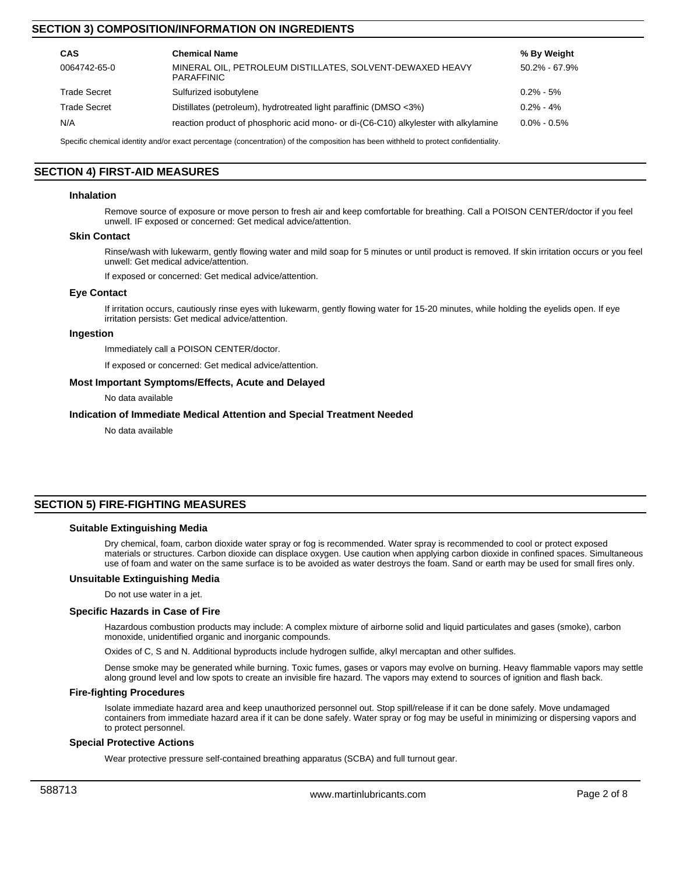# **SECTION 3) COMPOSITION/INFORMATION ON INGREDIENTS**

| CAS                                                                                                                                  | <b>Chemical Name</b>                                                                | % By Weight       |  |  |
|--------------------------------------------------------------------------------------------------------------------------------------|-------------------------------------------------------------------------------------|-------------------|--|--|
| 0064742-65-0                                                                                                                         | MINERAL OIL, PETROLEUM DISTILLATES, SOLVENT-DEWAXED HEAVY<br><b>PARAFFINIC</b>      | $50.2\% - 67.9\%$ |  |  |
| <b>Trade Secret</b>                                                                                                                  | Sulfurized isobutylene                                                              | $0.2\% - 5\%$     |  |  |
| <b>Trade Secret</b>                                                                                                                  | Distillates (petroleum), hydrotreated light paraffinic (DMSO <3%)                   | $0.2\% - 4\%$     |  |  |
| N/A                                                                                                                                  | reaction product of phosphoric acid mono- or di-(C6-C10) alkylester with alkylamine | $0.0\%$ - $0.5\%$ |  |  |
| Considia elemental identity and/ar except perceptans (consequentian) of the composition has been withhold to pretect confidentiality |                                                                                     |                   |  |  |

Specific chemical identity and/or exact percentage (concentration) of the composition has been withheld to protect confidenti

# **SECTION 4) FIRST-AID MEASURES**

### **Inhalation**

Remove source of exposure or move person to fresh air and keep comfortable for breathing. Call a POISON CENTER/doctor if you feel unwell. IF exposed or concerned: Get medical advice/attention.

### **Skin Contact**

Rinse/wash with lukewarm, gently flowing water and mild soap for 5 minutes or until product is removed. If skin irritation occurs or you feel unwell: Get medical advice/attention.

If exposed or concerned: Get medical advice/attention.

#### **Eye Contact**

If irritation occurs, cautiously rinse eyes with lukewarm, gently flowing water for 15-20 minutes, while holding the eyelids open. If eye irritation persists: Get medical advice/attention.

### **Ingestion**

Immediately call a POISON CENTER/doctor.

If exposed or concerned: Get medical advice/attention.

### **Most Important Symptoms/Effects, Acute and Delayed**

No data available

### **Indication of Immediate Medical Attention and Special Treatment Needed**

No data available

# **SECTION 5) FIRE-FIGHTING MEASURES**

### **Suitable Extinguishing Media**

Dry chemical, foam, carbon dioxide water spray or fog is recommended. Water spray is recommended to cool or protect exposed materials or structures. Carbon dioxide can displace oxygen. Use caution when applying carbon dioxide in confined spaces. Simultaneous use of foam and water on the same surface is to be avoided as water destroys the foam. Sand or earth may be used for small fires only.

#### **Unsuitable Extinguishing Media**

Do not use water in a jet.

### **Specific Hazards in Case of Fire**

Hazardous combustion products may include: A complex mixture of airborne solid and liquid particulates and gases (smoke), carbon monoxide, unidentified organic and inorganic compounds.

Oxides of C, S and N. Additional byproducts include hydrogen sulfide, alkyl mercaptan and other sulfides.

Dense smoke may be generated while burning. Toxic fumes, gases or vapors may evolve on burning. Heavy flammable vapors may settle along ground level and low spots to create an invisible fire hazard. The vapors may extend to sources of ignition and flash back.

### **Fire-fighting Procedures**

Isolate immediate hazard area and keep unauthorized personnel out. Stop spill/release if it can be done safely. Move undamaged containers from immediate hazard area if it can be done safely. Water spray or fog may be useful in minimizing or dispersing vapors and to protect personnel.

### **Special Protective Actions**

Wear protective pressure self-contained breathing apparatus (SCBA) and full turnout gear.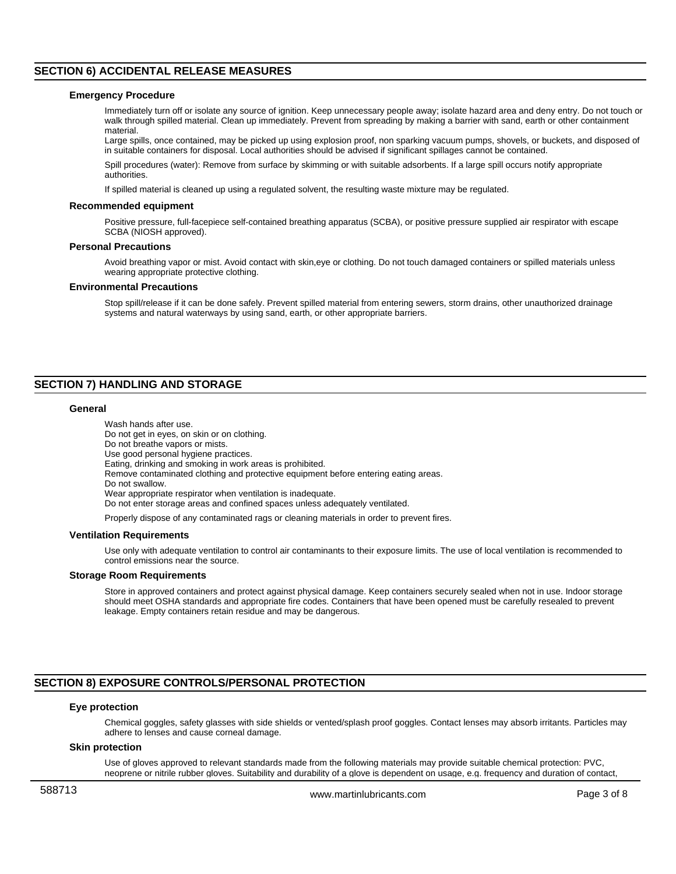# **SECTION 6) ACCIDENTAL RELEASE MEASURES**

### **Emergency Procedure**

Immediately turn off or isolate any source of ignition. Keep unnecessary people away; isolate hazard area and deny entry. Do not touch or walk through spilled material. Clean up immediately. Prevent from spreading by making a barrier with sand, earth or other containment material.

Large spills, once contained, may be picked up using explosion proof, non sparking vacuum pumps, shovels, or buckets, and disposed of in suitable containers for disposal. Local authorities should be advised if significant spillages cannot be contained.

Spill procedures (water): Remove from surface by skimming or with suitable adsorbents. If a large spill occurs notify appropriate authorities.

If spilled material is cleaned up using a regulated solvent, the resulting waste mixture may be regulated.

#### **Recommended equipment**

Positive pressure, full-facepiece self-contained breathing apparatus (SCBA), or positive pressure supplied air respirator with escape SCBA (NIOSH approved).

#### **Personal Precautions**

Avoid breathing vapor or mist. Avoid contact with skin,eye or clothing. Do not touch damaged containers or spilled materials unless wearing appropriate protective clothing.

#### **Environmental Precautions**

Stop spill/release if it can be done safely. Prevent spilled material from entering sewers, storm drains, other unauthorized drainage systems and natural waterways by using sand, earth, or other appropriate barriers.

# **SECTION 7) HANDLING AND STORAGE**

### **General**

Wash hands after use. Do not get in eyes, on skin or on clothing. Do not breathe vapors or mists. Use good personal hygiene practices. Eating, drinking and smoking in work areas is prohibited. Remove contaminated clothing and protective equipment before entering eating areas. Do not swallow. Wear appropriate respirator when ventilation is inadequate. Do not enter storage areas and confined spaces unless adequately ventilated.

Properly dispose of any contaminated rags or cleaning materials in order to prevent fires.

### **Ventilation Requirements**

Use only with adequate ventilation to control air contaminants to their exposure limits. The use of local ventilation is recommended to control emissions near the source.

#### **Storage Room Requirements**

Store in approved containers and protect against physical damage. Keep containers securely sealed when not in use. Indoor storage should meet OSHA standards and appropriate fire codes. Containers that have been opened must be carefully resealed to prevent leakage. Empty containers retain residue and may be dangerous.

### **SECTION 8) EXPOSURE CONTROLS/PERSONAL PROTECTION**

### **Eye protection**

Chemical goggles, safety glasses with side shields or vented/splash proof goggles. Contact lenses may absorb irritants. Particles may adhere to lenses and cause corneal damage.

### **Skin protection**

Use of gloves approved to relevant standards made from the following materials may provide suitable chemical protection: PVC, neoprene or nitrile rubber gloves. Suitability and durability of a glove is dependent on usage, e.g. frequency and duration of contact,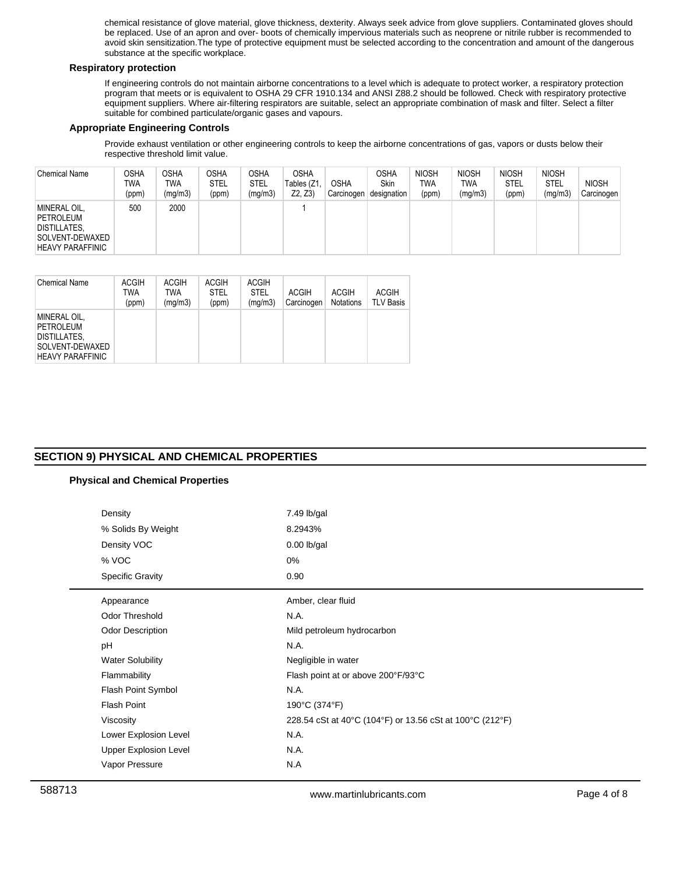chemical resistance of glove material, glove thickness, dexterity. Always seek advice from glove suppliers. Contaminated gloves should be replaced. Use of an apron and over- boots of chemically impervious materials such as neoprene or nitrile rubber is recommended to avoid skin sensitization.The type of protective equipment must be selected according to the concentration and amount of the dangerous substance at the specific workplace.

# **Respiratory protection**

If engineering controls do not maintain airborne concentrations to a level which is adequate to protect worker, a respiratory protection program that meets or is equivalent to OSHA 29 CFR 1910.134 and ANSI Z88.2 should be followed. Check with respiratory protective equipment suppliers. Where air-filtering respirators are suitable, select an appropriate combination of mask and filter. Select a filter suitable for combined particulate/organic gases and vapours.

# **Appropriate Engineering Controls**

Provide exhaust ventilation or other engineering controls to keep the airborne concentrations of gas, vapors or dusts below their respective threshold limit value.

| <b>Chemical Name</b>                                                                    | OSHA<br>TWA<br>(ppm) | <b>OSHA</b><br><b>TWA</b><br>(mg/m3) | <b>OSHA</b><br>STEL<br>(ppm) | OSHA<br><b>STEL</b><br>(mg/m3) | <b>OSHA</b><br>Tables (Z1<br>Z2, Z3 | <b>OSHA</b><br>Carcinogen | OSHA<br><b>Skin</b><br>designation | <b>NIOSH</b><br><b>TWA</b><br>(ppm) | <b>NIOSH</b><br>TWA<br>(mg/m3) | <b>NIOSH</b><br><b>STEL</b><br>(ppm) | <b>NIOSH</b><br><b>STEL</b><br>(mg/m3) | <b>NIOSH</b><br>Carcinogen |
|-----------------------------------------------------------------------------------------|----------------------|--------------------------------------|------------------------------|--------------------------------|-------------------------------------|---------------------------|------------------------------------|-------------------------------------|--------------------------------|--------------------------------------|----------------------------------------|----------------------------|
| MINERAL OIL,<br>PETROLEUM<br>DISTILLATES,<br>SOLVENT-DEWAXED<br><b>HEAVY PARAFFINIC</b> | 500                  | 2000                                 |                              |                                |                                     |                           |                                    |                                     |                                |                                      |                                        |                            |

| <b>Chemical Name</b>                                                                           | <b>ACGIH</b><br>TWA<br>(ppm) | <b>ACGIH</b><br>TWA<br>(mq/m3) | <b>ACGIH</b><br><b>STEL</b><br>(ppm) | <b>ACGIH</b><br><b>STEL</b><br>(mq/m3) | <b>ACGIH</b><br>Carcinogen | <b>ACGIH</b><br><b>Notations</b> | <b>ACGIH</b><br>TLV Basis |
|------------------------------------------------------------------------------------------------|------------------------------|--------------------------------|--------------------------------------|----------------------------------------|----------------------------|----------------------------------|---------------------------|
| MINERAL OIL,<br>PETROLEUM<br><b>DISTILLATES.</b><br>SOLVENT-DEWAXED<br><b>HEAVY PARAFFINIC</b> |                              |                                |                                      |                                        |                            |                                  |                           |

# **SECTION 9) PHYSICAL AND CHEMICAL PROPERTIES**

# **Physical and Chemical Properties**

| Density                      | 7.49 lb/gal                                              |
|------------------------------|----------------------------------------------------------|
| % Solids By Weight           | 8.2943%                                                  |
| Density VOC                  | $0.00$ lb/gal                                            |
| % VOC                        | 0%                                                       |
| <b>Specific Gravity</b>      | 0.90                                                     |
| Appearance                   | Amber, clear fluid                                       |
| <b>Odor Threshold</b>        | N.A.                                                     |
| <b>Odor Description</b>      | Mild petroleum hydrocarbon                               |
| pH                           | N.A.                                                     |
| <b>Water Solubility</b>      | Negligible in water                                      |
| Flammability                 | Flash point at or above 200°F/93°C                       |
| Flash Point Symbol           | N.A.                                                     |
| <b>Flash Point</b>           | 190°C (374°F)                                            |
| Viscosity                    | 228.54 cSt at 40°C (104°F) or 13.56 cSt at 100°C (212°F) |
| Lower Explosion Level        | N.A.                                                     |
| <b>Upper Explosion Level</b> | N.A.                                                     |
| Vapor Pressure               | N.A                                                      |
|                              |                                                          |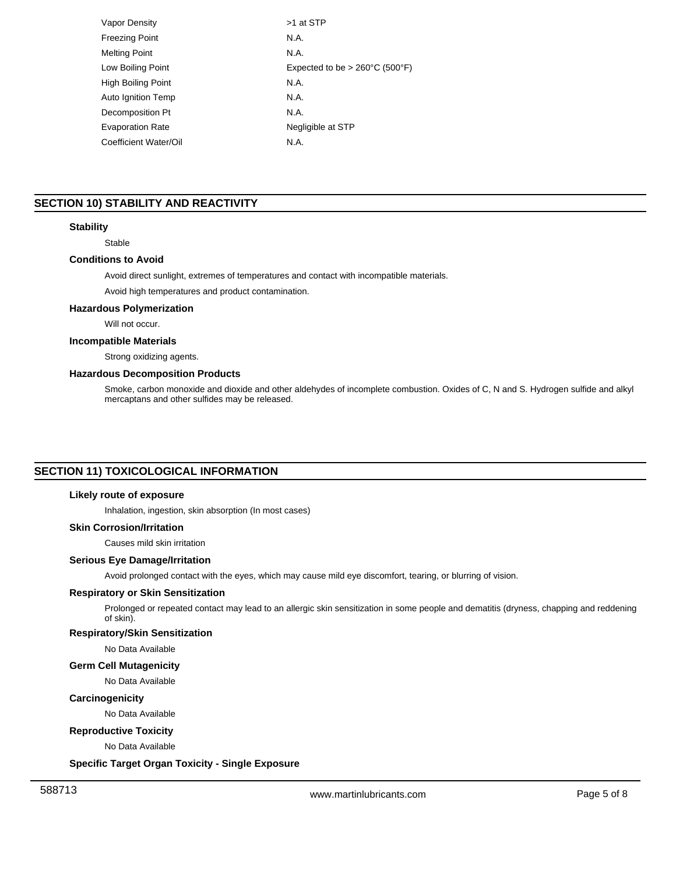| Vapor Density             | >1 at STP                                           |
|---------------------------|-----------------------------------------------------|
| <b>Freezing Point</b>     | N.A.                                                |
| <b>Melting Point</b>      | N.A.                                                |
| Low Boiling Point         | Expected to be $> 260^{\circ}$ C (500 $^{\circ}$ F) |
| High Boiling Point        | N.A.                                                |
| <b>Auto Ignition Temp</b> | N.A.                                                |
| Decomposition Pt          | N.A.                                                |
| <b>Evaporation Rate</b>   | Negligible at STP                                   |
| Coefficient Water/Oil     | N.A.                                                |
|                           |                                                     |

# **SECTION 10) STABILITY AND REACTIVITY**

## **Stability**

Stable

### **Conditions to Avoid**

Avoid direct sunlight, extremes of temperatures and contact with incompatible materials.

Avoid high temperatures and product contamination.

# **Hazardous Polymerization**

Will not occur.

# **Incompatible Materials**

Strong oxidizing agents.

# **Hazardous Decomposition Products**

Smoke, carbon monoxide and dioxide and other aldehydes of incomplete combustion. Oxides of C, N and S. Hydrogen sulfide and alkyl mercaptans and other sulfides may be released.

# **SECTION 11) TOXICOLOGICAL INFORMATION**

### **Likely route of exposure**

Inhalation, ingestion, skin absorption (In most cases)

# **Skin Corrosion/Irritation**

Causes mild skin irritation

### **Serious Eye Damage/Irritation**

Avoid prolonged contact with the eyes, which may cause mild eye discomfort, tearing, or blurring of vision.

# **Respiratory or Skin Sensitization**

Prolonged or repeated contact may lead to an allergic skin sensitization in some people and dematitis (dryness, chapping and reddening of skin).

# **Respiratory/Skin Sensitization**

No Data Available

### **Germ Cell Mutagenicity**

No Data Available

## **Carcinogenicity**

No Data Available

# **Reproductive Toxicity**

No Data Available

# **Specific Target Organ Toxicity - Single Exposure**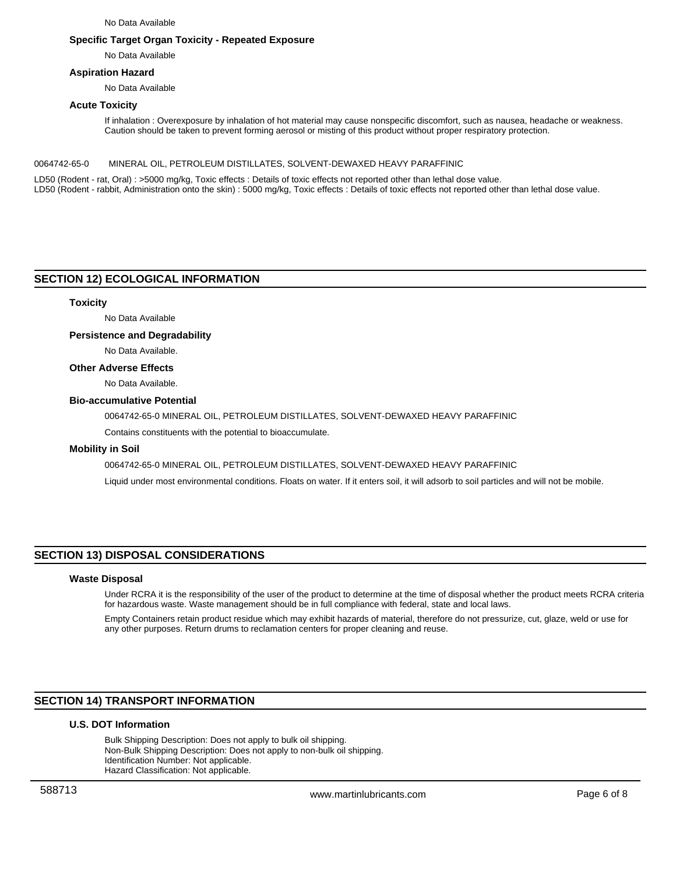No Data Available

### **Specific Target Organ Toxicity - Repeated Exposure**

No Data Available

### **Aspiration Hazard**

No Data Available

### **Acute Toxicity**

If inhalation : Overexposure by inhalation of hot material may cause nonspecific discomfort, such as nausea, headache or weakness. Caution should be taken to prevent forming aerosol or misting of this product without proper respiratory protection.

0064742-65-0 MINERAL OIL, PETROLEUM DISTILLATES, SOLVENT-DEWAXED HEAVY PARAFFINIC

LD50 (Rodent - rat, Oral) : >5000 mg/kg, Toxic effects : Details of toxic effects not reported other than lethal dose value. LD50 (Rodent - rabbit, Administration onto the skin) : 5000 mg/kg, Toxic effects : Details of toxic effects not reported other than lethal dose value.

# **SECTION 12) ECOLOGICAL INFORMATION**

### **Toxicity**

No Data Available

### **Persistence and Degradability**

No Data Available.

### **Other Adverse Effects**

No Data Available.

### **Bio-accumulative Potential**

0064742-65-0 MINERAL OIL, PETROLEUM DISTILLATES, SOLVENT-DEWAXED HEAVY PARAFFINIC

Contains constituents with the potential to bioaccumulate.

### **Mobility in Soil**

0064742-65-0 MINERAL OIL, PETROLEUM DISTILLATES, SOLVENT-DEWAXED HEAVY PARAFFINIC Liquid under most environmental conditions. Floats on water. If it enters soil, it will adsorb to soil particles and will not be mobile.

# **SECTION 13) DISPOSAL CONSIDERATIONS**

### **Waste Disposal**

Under RCRA it is the responsibility of the user of the product to determine at the time of disposal whether the product meets RCRA criteria for hazardous waste. Waste management should be in full compliance with federal, state and local laws.

Empty Containers retain product residue which may exhibit hazards of material, therefore do not pressurize, cut, glaze, weld or use for any other purposes. Return drums to reclamation centers for proper cleaning and reuse.

# **SECTION 14) TRANSPORT INFORMATION**

### **U.S. DOT Information**

Bulk Shipping Description: Does not apply to bulk oil shipping. Non-Bulk Shipping Description: Does not apply to non-bulk oil shipping. Identification Number: Not applicable. Hazard Classification: Not applicable.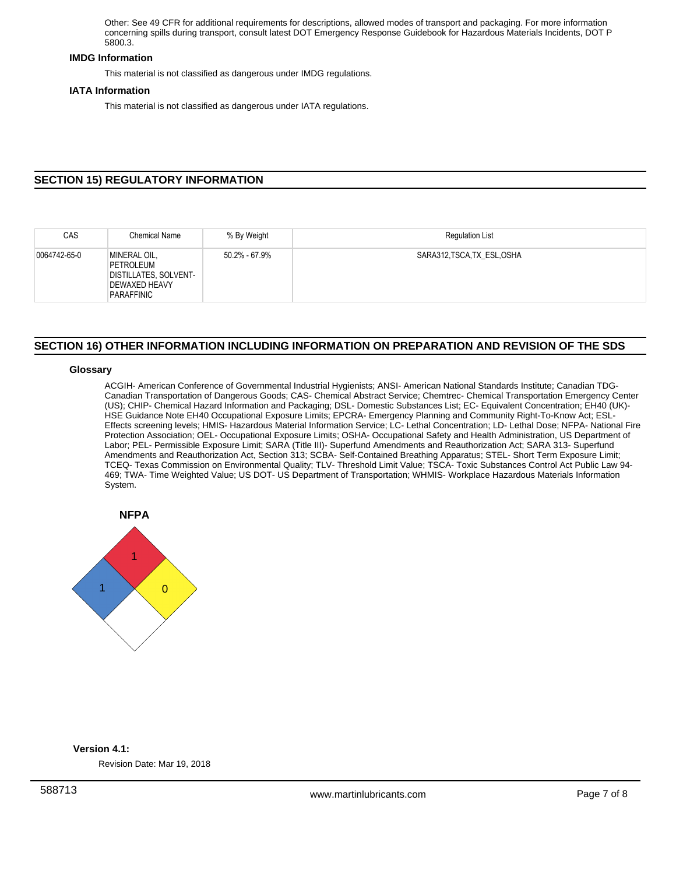Other: See 49 CFR for additional requirements for descriptions, allowed modes of transport and packaging. For more information concerning spills during transport, consult latest DOT Emergency Response Guidebook for Hazardous Materials Incidents, DOT P 5800.3.

### **IMDG Information**

This material is not classified as dangerous under IMDG regulations.

### **IATA Information**

This material is not classified as dangerous under IATA regulations.

# **SECTION 15) REGULATORY INFORMATION**

| CAS          | <b>Chemical Name</b>                                                              | % By Weight   | <b>Requlation List</b>      |
|--------------|-----------------------------------------------------------------------------------|---------------|-----------------------------|
| 0064742-65-0 | MINERAL OIL,<br>PETROLEUM<br>DISTILLATES, SOLVENT-<br>DEWAXED HEAVY<br>PARAFFINIC | 50.2% - 67.9% | SARA312, TSCA, TX ESL, OSHA |

# **SECTION 16) OTHER INFORMATION INCLUDING INFORMATION ON PREPARATION AND REVISION OF THE SDS**

### **Glossary**

ACGIH- American Conference of Governmental Industrial Hygienists; ANSI- American National Standards Institute; Canadian TDG-Canadian Transportation of Dangerous Goods; CAS- Chemical Abstract Service; Chemtrec- Chemical Transportation Emergency Center (US); CHIP- Chemical Hazard Information and Packaging; DSL- Domestic Substances List; EC- Equivalent Concentration; EH40 (UK)- HSE Guidance Note EH40 Occupational Exposure Limits; EPCRA- Emergency Planning and Community Right-To-Know Act; ESL-Effects screening levels; HMIS- Hazardous Material Information Service; LC- Lethal Concentration; LD- Lethal Dose; NFPA- National Fire Protection Association; OEL- Occupational Exposure Limits; OSHA- Occupational Safety and Health Administration, US Department of Labor; PEL- Permissible Exposure Limit; SARA (Title III)- Superfund Amendments and Reauthorization Act; SARA 313- Superfund Amendments and Reauthorization Act, Section 313; SCBA- Self-Contained Breathing Apparatus; STEL- Short Term Exposure Limit; TCEQ- Texas Commission on Environmental Quality; TLV- Threshold Limit Value; TSCA- Toxic Substances Control Act Public Law 94- 469; TWA- Time Weighted Value; US DOT- US Department of Transportation; WHMIS- Workplace Hazardous Materials Information System.



# **Version 4.1:**

Revision Date: Mar 19, 2018